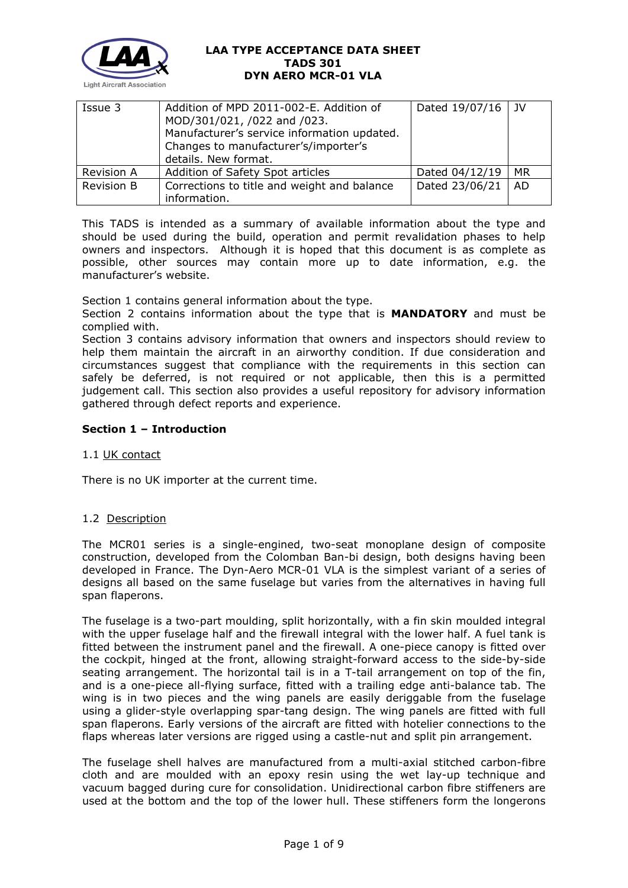

| Issue 3           | Addition of MPD 2011-002-E. Addition of<br>MOD/301/021, /022 and /023.<br>Manufacturer's service information updated.<br>Changes to manufacturer's/importer's<br>details. New format. | Dated 19/07/16   JV |           |
|-------------------|---------------------------------------------------------------------------------------------------------------------------------------------------------------------------------------|---------------------|-----------|
| <b>Revision A</b> | Addition of Safety Spot articles                                                                                                                                                      | Dated 04/12/19      | <b>MR</b> |
| <b>Revision B</b> | Corrections to title and weight and balance<br>information.                                                                                                                           | Dated 23/06/21      | <b>AD</b> |

This TADS is intended as a summary of available information about the type and should be used during the build, operation and permit revalidation phases to help owners and inspectors. Although it is hoped that this document is as complete as possible, other sources may contain more up to date information, e.g. the manufacturer's website.

Section 1 contains general information about the type.

Section 2 contains information about the type that is **MANDATORY** and must be complied with.

Section 3 contains advisory information that owners and inspectors should review to help them maintain the aircraft in an airworthy condition. If due consideration and circumstances suggest that compliance with the requirements in this section can safely be deferred, is not required or not applicable, then this is a permitted judgement call. This section also provides a useful repository for advisory information gathered through defect reports and experience.

# **Section 1 – Introduction**

### 1.1 UK contact

There is no UK importer at the current time.

# 1.2 Description

The MCR01 series is a single-engined, two-seat monoplane design of composite construction, developed from the Colomban Ban-bi design, both designs having been developed in France. The Dyn-Aero MCR-01 VLA is the simplest variant of a series of designs all based on the same fuselage but varies from the alternatives in having full span flaperons.

The fuselage is a two-part moulding, split horizontally, with a fin skin moulded integral with the upper fuselage half and the firewall integral with the lower half. A fuel tank is fitted between the instrument panel and the firewall. A one-piece canopy is fitted over the cockpit, hinged at the front, allowing straight-forward access to the side-by-side seating arrangement. The horizontal tail is in a T-tail arrangement on top of the fin, and is a one-piece all-flying surface, fitted with a trailing edge anti-balance tab. The wing is in two pieces and the wing panels are easily deriggable from the fuselage using a glider-style overlapping spar-tang design. The wing panels are fitted with full span flaperons. Early versions of the aircraft are fitted with hotelier connections to the flaps whereas later versions are rigged using a castle-nut and split pin arrangement.

The fuselage shell halves are manufactured from a multi-axial stitched carbon-fibre cloth and are moulded with an epoxy resin using the wet lay-up technique and vacuum bagged during cure for consolidation. Unidirectional carbon fibre stiffeners are used at the bottom and the top of the lower hull. These stiffeners form the longerons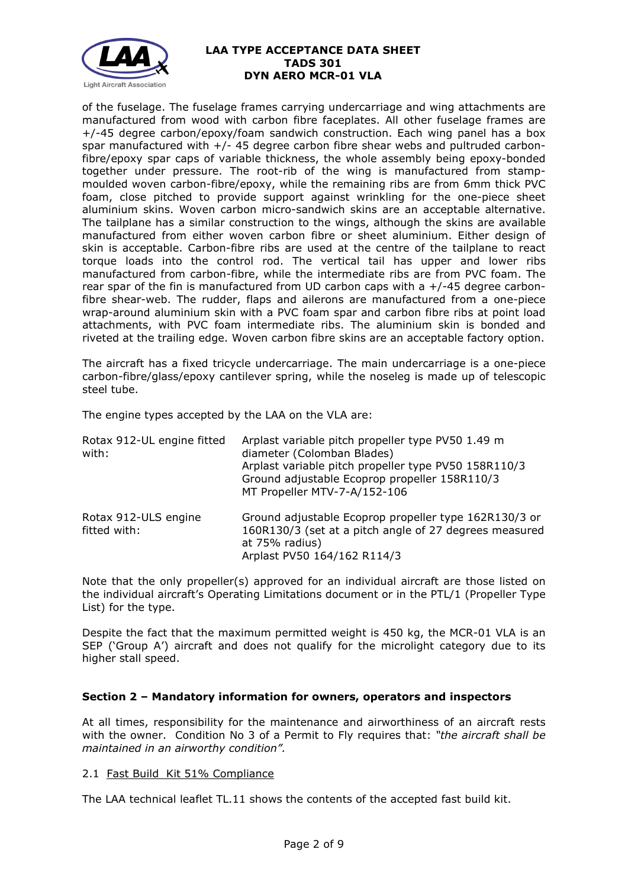

of the fuselage. The fuselage frames carrying undercarriage and wing attachments are manufactured from wood with carbon fibre faceplates. All other fuselage frames are +/-45 degree carbon/epoxy/foam sandwich construction. Each wing panel has a box spar manufactured with  $+/-$  45 degree carbon fibre shear webs and pultruded carbonfibre/epoxy spar caps of variable thickness, the whole assembly being epoxy-bonded together under pressure. The root-rib of the wing is manufactured from stampmoulded woven carbon-fibre/epoxy, while the remaining ribs are from 6mm thick PVC foam, close pitched to provide support against wrinkling for the one-piece sheet aluminium skins. Woven carbon micro-sandwich skins are an acceptable alternative. The tailplane has a similar construction to the wings, although the skins are available manufactured from either woven carbon fibre or sheet aluminium. Either design of skin is acceptable. Carbon-fibre ribs are used at the centre of the tailplane to react torque loads into the control rod. The vertical tail has upper and lower ribs manufactured from carbon-fibre, while the intermediate ribs are from PVC foam. The rear spar of the fin is manufactured from UD carbon caps with a  $+/-45$  degree carbonfibre shear-web. The rudder, flaps and ailerons are manufactured from a one-piece wrap-around aluminium skin with a PVC foam spar and carbon fibre ribs at point load attachments, with PVC foam intermediate ribs. The aluminium skin is bonded and riveted at the trailing edge. Woven carbon fibre skins are an acceptable factory option.

The aircraft has a fixed tricycle undercarriage. The main undercarriage is a one-piece carbon-fibre/glass/epoxy cantilever spring, while the noseleg is made up of telescopic steel tube.

The engine types accepted by the LAA on the VLA are:

| Rotax 912-UL engine fitted<br>with:  | Arplast variable pitch propeller type PV50 1.49 m<br>diameter (Colomban Blades)<br>Arplast variable pitch propeller type PV50 158R110/3<br>Ground adjustable Ecoprop propeller 158R110/3<br>MT Propeller MTV-7-A/152-106 |
|--------------------------------------|--------------------------------------------------------------------------------------------------------------------------------------------------------------------------------------------------------------------------|
| Rotax 912-ULS engine<br>fitted with: | Ground adjustable Ecoprop propeller type 162R130/3 or<br>160R130/3 (set at a pitch angle of 27 degrees measured<br>at 75% radius)<br>Arplast PV50 164/162 R114/3                                                         |

Note that the only propeller(s) approved for an individual aircraft are those listed on the individual aircraft's Operating Limitations document or in the PTL/1 (Propeller Type List) for the type.

Despite the fact that the maximum permitted weight is 450 kg, the MCR-01 VLA is an SEP ('Group A') aircraft and does not qualify for the microlight category due to its higher stall speed.

### **Section 2 – Mandatory information for owners, operators and inspectors**

At all times, responsibility for the maintenance and airworthiness of an aircraft rests with the owner. Condition No 3 of a Permit to Fly requires that: *"the aircraft shall be maintained in an airworthy condition".* 

### 2.1 Fast Build Kit 51% Compliance

The LAA technical leaflet TL.11 shows the contents of the accepted fast build kit.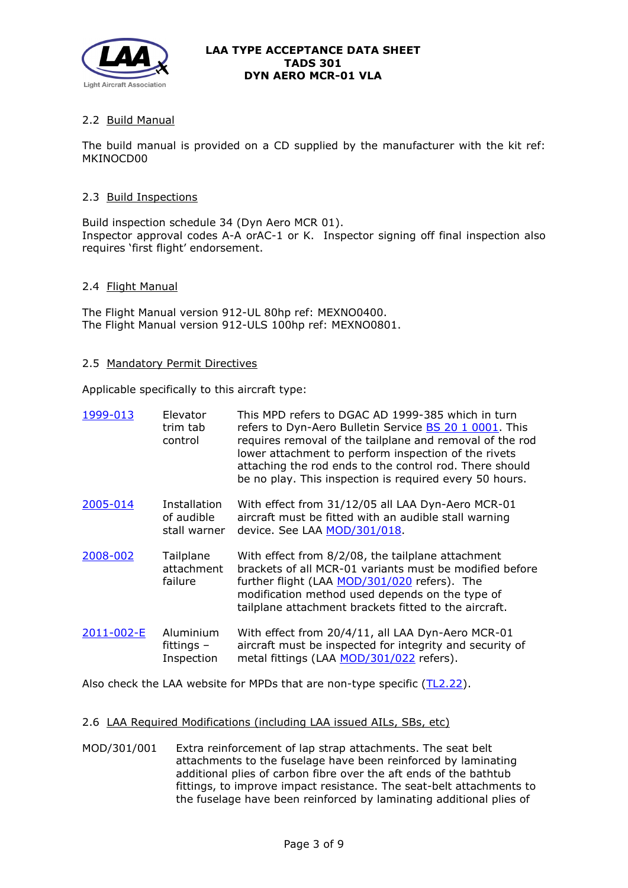

# 2.2 Build Manual

The build manual is provided on a CD supplied by the manufacturer with the kit ref: MKINOCD00

#### 2.3 Build Inspections

Build inspection schedule 34 (Dyn Aero MCR 01). Inspector approval codes A-A orAC-1 or K. Inspector signing off final inspection also requires 'first flight' endorsement.

#### 2.4 Flight Manual

The Flight Manual version 912-UL 80hp ref: MEXNO0400. The Flight Manual version 912-ULS 100hp ref: MEXNO0801.

#### 2.5 Mandatory Permit Directives

Applicable specifically to this aircraft type:

| 1999-013   | Elevator<br>trim tab<br>control                   | This MPD refers to DGAC AD 1999-385 which in turn<br>refers to Dyn-Aero Bulletin Service <b>BS 20 1 0001</b> . This<br>requires removal of the tailplane and removal of the rod<br>lower attachment to perform inspection of the rivets<br>attaching the rod ends to the control rod. There should<br>be no play. This inspection is required every 50 hours. |
|------------|---------------------------------------------------|---------------------------------------------------------------------------------------------------------------------------------------------------------------------------------------------------------------------------------------------------------------------------------------------------------------------------------------------------------------|
| 2005-014   | <b>Installation</b><br>of audible<br>stall warner | With effect from 31/12/05 all LAA Dyn-Aero MCR-01<br>aircraft must be fitted with an audible stall warning<br>device. See LAA MOD/301/018.                                                                                                                                                                                                                    |
| 2008-002   | Tailplane<br>attachment<br>failure                | With effect from 8/2/08, the tailplane attachment<br>brackets of all MCR-01 variants must be modified before<br>further flight (LAA MOD/301/020 refers). The<br>modification method used depends on the type of<br>tailplane attachment brackets fitted to the aircraft.                                                                                      |
| 2011-002-E | Aluminium<br>fittings $-$<br>Inspection           | With effect from 20/4/11, all LAA Dyn-Aero MCR-01<br>aircraft must be inspected for integrity and security of<br>metal fittings (LAA MOD/301/022 refers).                                                                                                                                                                                                     |

Also check the LAA website for MPDs that are non-type specific [\(TL2.22\)](http://www.lightaircraftassociation.co.uk/engineering/TechnicalLeaflets/Operating%20An%20Aircraft/TL%202.22%20non-type%20specific%20MPDs.pdf).

#### 2.6 LAA Required Modifications (including LAA issued AILs, SBs, etc)

MOD/301/001 Extra reinforcement of lap strap attachments. The seat belt attachments to the fuselage have been reinforced by laminating additional plies of carbon fibre over the aft ends of the bathtub fittings, to improve impact resistance. The seat-belt attachments to the fuselage have been reinforced by laminating additional plies of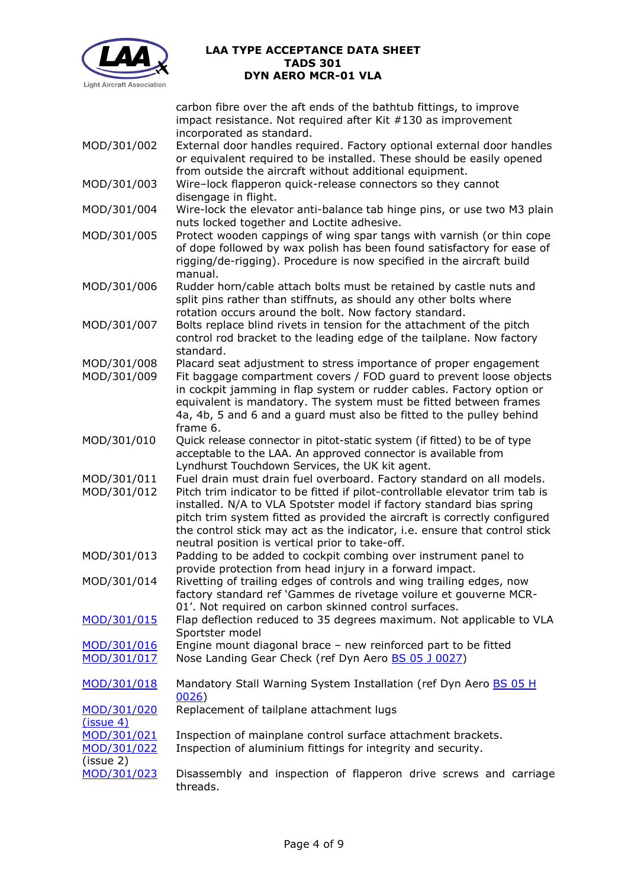

carbon fibre over the aft ends of the bathtub fittings, to improve impact resistance. Not required after Kit #130 as improvement incorporated as standard.

- MOD/301/002 External door handles required. Factory optional external door handles or equivalent required to be installed. These should be easily opened from outside the aircraft without additional equipment.
- MOD/301/003 Wire–lock flapperon quick-release connectors so they cannot disengage in flight.
- MOD/301/004 Wire-lock the elevator anti-balance tab hinge pins, or use two M3 plain nuts locked together and Loctite adhesive.
- MOD/301/005 Protect wooden cappings of wing spar tangs with varnish (or thin cope of dope followed by wax polish has been found satisfactory for ease of rigging/de-rigging). Procedure is now specified in the aircraft build manual.
- MOD/301/006 Rudder horn/cable attach bolts must be retained by castle nuts and split pins rather than stiffnuts, as should any other bolts where rotation occurs around the bolt. Now factory standard.
- MOD/301/007 Bolts replace blind rivets in tension for the attachment of the pitch control rod bracket to the leading edge of the tailplane. Now factory standard.
- MOD/301/008 Placard seat adjustment to stress importance of proper engagement MOD/301/009 Fit baggage compartment covers / FOD guard to prevent loose objects in cockpit jamming in flap system or rudder cables. Factory option or equivalent is mandatory. The system must be fitted between frames 4a, 4b, 5 and 6 and a guard must also be fitted to the pulley behind frame 6.
- MOD/301/010 Ouick release connector in pitot-static system (if fitted) to be of type acceptable to the LAA. An approved connector is available from Lyndhurst Touchdown Services, the UK kit agent.
- MOD/301/011 Fuel drain must drain fuel overboard. Factory standard on all models. MOD/301/012 Pitch trim indicator to be fitted if pilot-controllable elevator trim tab is installed. N/A to VLA Spotster model if factory standard bias spring pitch trim system fitted as provided the aircraft is correctly configured the control stick may act as the indicator, i.e. ensure that control stick
- neutral position is vertical prior to take-off. MOD/301/013 Padding to be added to cockpit combing over instrument panel to provide protection from head injury in a forward impact.
- MOD/301/014 Rivetting of trailing edges of controls and wing trailing edges, now factory standard ref 'Gammes de rivetage voilure et gouverne MCR-01'. Not required on carbon skinned control surfaces.
- [MOD/301/015](http://www.lightaircraftassociation.co.uk/engineering/TADs/301/301-015.pdf) Flap deflection reduced to 35 degrees maximum. Not applicable to VLA Sportster model
- [MOD/301/016](http://www.lightaircraftassociation.co.uk/engineering/TADs/301/301-016.pdf) Engine mount diagonal brace new reinforced part to be fitted [MOD/301/017](http://www.lightaircraftassociation.co.uk/engineering/TADs/301/301-017.pdf) Nose Landing Gear Check (ref Dyn Aero [BS 05 J](http://www.lightaircraftassociation.co.uk/engineering/TADs/301/0028BS05J0027.pdf) 0027)
- [MOD/301/018](http://www.lightaircraftassociation.co.uk/engineering/TADs/301/301-018.pdf) Mandatory Stall Warning System Installation (ref Dyn Aero BS 05 H [0026\)](http://www.lightaircraftassociation.co.uk/engineering/TADs/301/0027BS05H0026.pdf)

#### [MOD/301/020](http://www.lightaircraftassociation.co.uk/engineering/TADs/301/301-020.pdf) [\(issue 4\)](http://www.lightaircraftassociation.co.uk/engineering/TADs/301/301-020.pdf) Replacement of tailplane attachment lugs

[MOD/301/021](http://www.lightaircraftassociation.co.uk/engineering/TADs/301/301-021.pdf) Inspection of mainplane control surface attachment brackets. [MOD/301/022](http://www.lightaircraftassociation.co.uk/engineering/TADs/301/301-022.pdf) (issue 2) Inspection of aluminium fittings for integrity and security.

[MOD/301/023](http://www.lightaircraftassociation.co.uk/engineering/TADs/301/301-023.pdf) Disassembly and inspection of flapperon drive screws and carriage threads.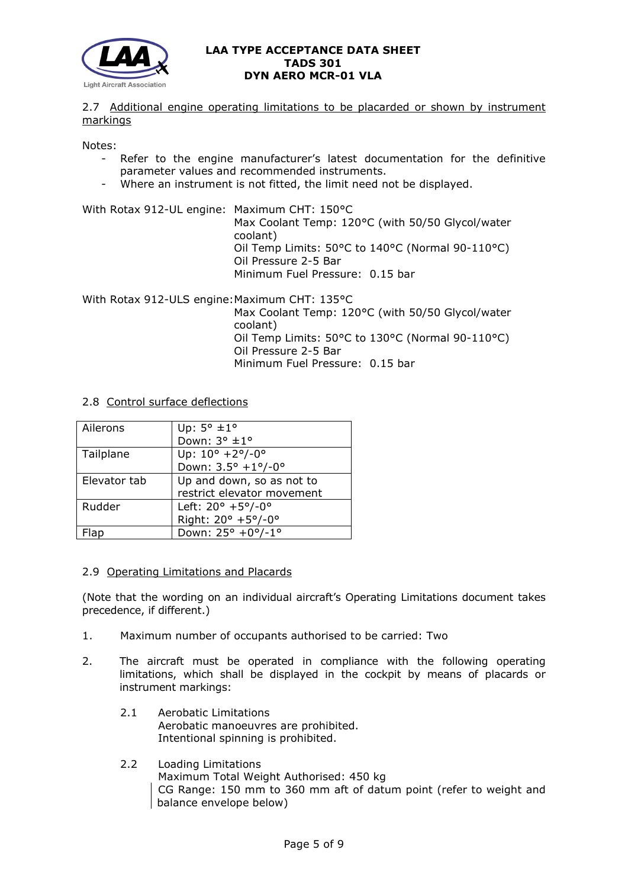

## 2.7 Additional engine operating limitations to be placarded or shown by instrument markings

Notes:

- Refer to the engine manufacturer's latest documentation for the definitive parameter values and recommended instruments.
- Where an instrument is not fitted, the limit need not be displayed.

With Rotax 912-UL engine: Maximum CHT: 150°C Max Coolant Temp: 120°C (with 50/50 Glycol/water coolant) Oil Temp Limits: 50°C to 140°C (Normal 90-110°C) Oil Pressure 2-5 Bar Minimum Fuel Pressure: 0.15 bar

With Rotax 912-ULS engine: Maximum CHT: 135°C Max Coolant Temp: 120°C (with 50/50 Glycol/water coolant) Oil Temp Limits: 50°C to 130°C (Normal 90-110°C) Oil Pressure 2-5 Bar Minimum Fuel Pressure: 0.15 bar

### 2.8 Control surface deflections

| Ailerons     | Up: $5^{\circ}$ ±1°                           |
|--------------|-----------------------------------------------|
|              | Down: $3^{\circ}$ ±1°                         |
| Tailplane    | Up: $10^{\circ}$ +2 $^{\circ}$ /-0 $^{\circ}$ |
|              | Down: $3.5^{\circ}$ +1°/-0°                   |
| Elevator tab | Up and down, so as not to                     |
|              | restrict elevator movement                    |
| Rudder       | Left: $20^{\circ}$ +5°/-0°                    |
|              | Right: 20° +5°/-0°                            |
| lab          | Down: 25° +0°/-1°                             |

### 2.9 Operating Limitations and Placards

(Note that the wording on an individual aircraft's Operating Limitations document takes precedence, if different.)

- 1. Maximum number of occupants authorised to be carried: Two
- 2. The aircraft must be operated in compliance with the following operating limitations, which shall be displayed in the cockpit by means of placards or instrument markings:
	- 2.1 Aerobatic Limitations Aerobatic manoeuvres are prohibited. Intentional spinning is prohibited.
	- 2.2 Loading Limitations Maximum Total Weight Authorised: 450 kg CG Range: 150 mm to 360 mm aft of datum point (refer to weight and balance envelope below)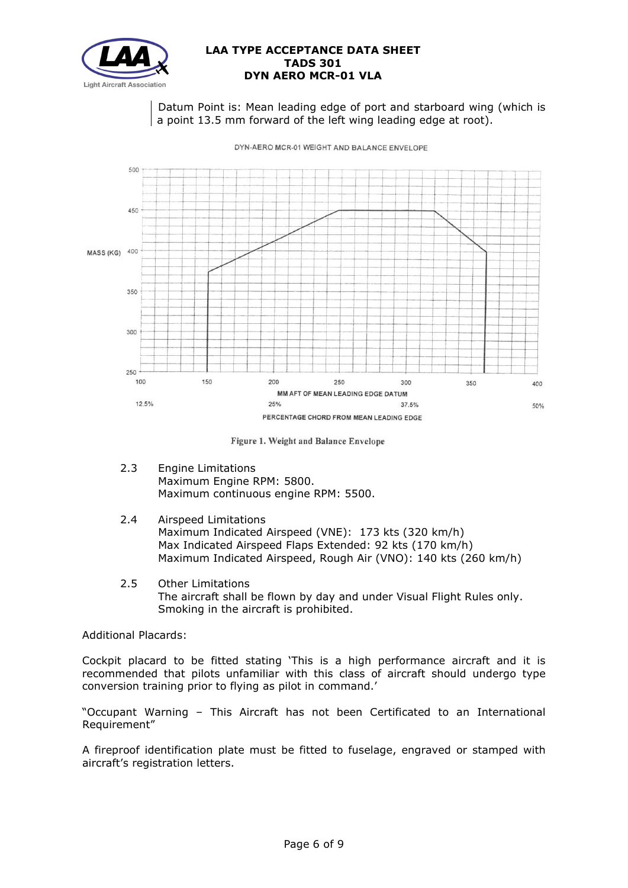

Datum Point is: Mean leading edge of port and starboard wing (which is a point 13.5 mm forward of the left wing leading edge at root).



DYN-AERO MCR-01 WEIGHT AND BALANCE ENVELOPE

Figure 1. Weight and Balance Envelope

- 2.3 Engine Limitations Maximum Engine RPM: 5800. Maximum continuous engine RPM: 5500.
- 2.4 Airspeed Limitations

Maximum Indicated Airspeed (VNE): 173 kts (320 km/h) Max Indicated Airspeed Flaps Extended: 92 kts (170 km/h) Maximum Indicated Airspeed, Rough Air (VNO): 140 kts (260 km/h)

2.5 Other Limitations The aircraft shall be flown by day and under Visual Flight Rules only. Smoking in the aircraft is prohibited.

Additional Placards:

Cockpit placard to be fitted stating 'This is a high performance aircraft and it is recommended that pilots unfamiliar with this class of aircraft should undergo type conversion training prior to flying as pilot in command.'

"Occupant Warning – This Aircraft has not been Certificated to an International Requirement"

A fireproof identification plate must be fitted to fuselage, engraved or stamped with aircraft's registration letters.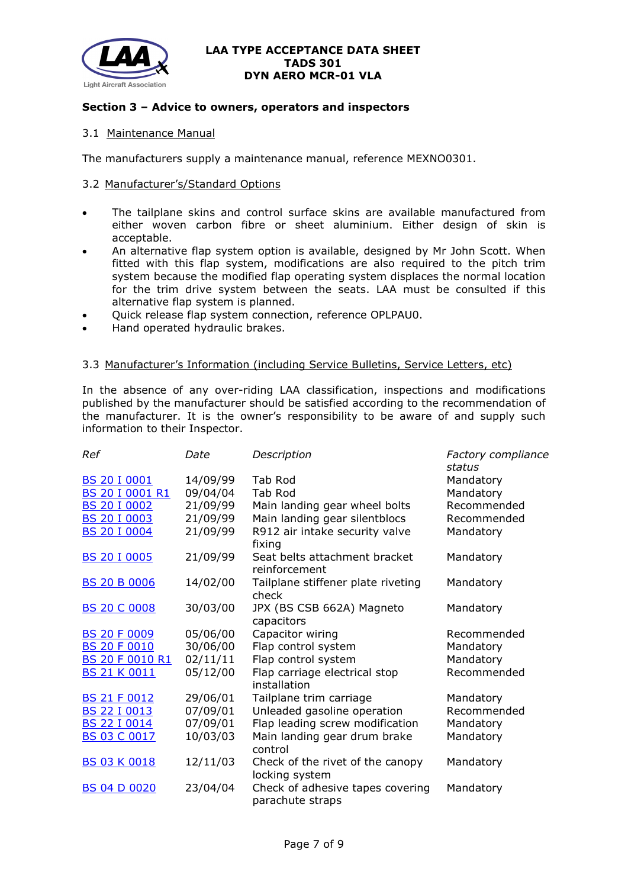

## **Section 3 – Advice to owners, operators and inspectors**

# 3.1 Maintenance Manual

The manufacturers supply a maintenance manual, reference MEXNO0301.

## 3.2 Manufacturer's/Standard Options

- The tailplane skins and control surface skins are available manufactured from either woven carbon fibre or sheet aluminium. Either design of skin is acceptable.
- An alternative flap system option is available, designed by Mr John Scott. When fitted with this flap system, modifications are also required to the pitch trim system because the modified flap operating system displaces the normal location for the trim drive system between the seats. LAA must be consulted if this alternative flap system is planned.
- Quick release flap system connection, reference OPLPAU0.
- Hand operated hydraulic brakes.

### 3.3 Manufacturer's Information (including Service Bulletins, Service Letters, etc)

In the absence of any over-riding LAA classification, inspections and modifications published by the manufacturer should be satisfied according to the recommendation of the manufacturer. It is the owner's responsibility to be aware of and supply such information to their Inspector.

| Ref                    | Date     | Description                                          | Factory compliance<br>status |
|------------------------|----------|------------------------------------------------------|------------------------------|
| <b>BS 20 I 0001</b>    | 14/09/99 | Tab Rod                                              | Mandatory                    |
| BS 20 I 0001 R1        | 09/04/04 | Tab Rod                                              | Mandatory                    |
| <b>BS 20 I 0002</b>    | 21/09/99 | Main landing gear wheel bolts                        | Recommended                  |
| <b>BS 20 I 0003</b>    | 21/09/99 | Main landing gear silentblocs                        | Recommended                  |
| <b>BS 20 I 0004</b>    | 21/09/99 | R912 air intake security valve<br>fixing             | Mandatory                    |
| <b>BS 20 I 0005</b>    | 21/09/99 | Seat belts attachment bracket<br>reinforcement       | Mandatory                    |
| <b>BS 20 B 0006</b>    | 14/02/00 | Tailplane stiffener plate riveting<br>check          | Mandatory                    |
| <b>BS 20 C 0008</b>    | 30/03/00 | JPX (BS CSB 662A) Magneto<br>capacitors              | Mandatory                    |
| <b>BS 20 F 0009</b>    | 05/06/00 | Capacitor wiring                                     | Recommended                  |
| <b>BS 20 F 0010</b>    | 30/06/00 | Flap control system                                  | Mandatory                    |
| <b>BS 20 F 0010 R1</b> | 02/11/11 | Flap control system                                  | Mandatory                    |
| <b>BS 21 K 0011</b>    | 05/12/00 | Flap carriage electrical stop<br>installation        | Recommended                  |
| <b>BS 21 F 0012</b>    | 29/06/01 | Tailplane trim carriage                              | Mandatory                    |
| <b>BS 22 I 0013</b>    | 07/09/01 | Unleaded gasoline operation                          | Recommended                  |
| <b>BS 22 I 0014</b>    | 07/09/01 | Flap leading screw modification                      | Mandatory                    |
| <b>BS 03 C 0017</b>    | 10/03/03 | Main landing gear drum brake<br>control              | Mandatory                    |
| <b>BS 03 K 0018</b>    | 12/11/03 | Check of the rivet of the canopy<br>locking system   | Mandatory                    |
| <b>BS 04 D 0020</b>    | 23/04/04 | Check of adhesive tapes covering<br>parachute straps | Mandatory                    |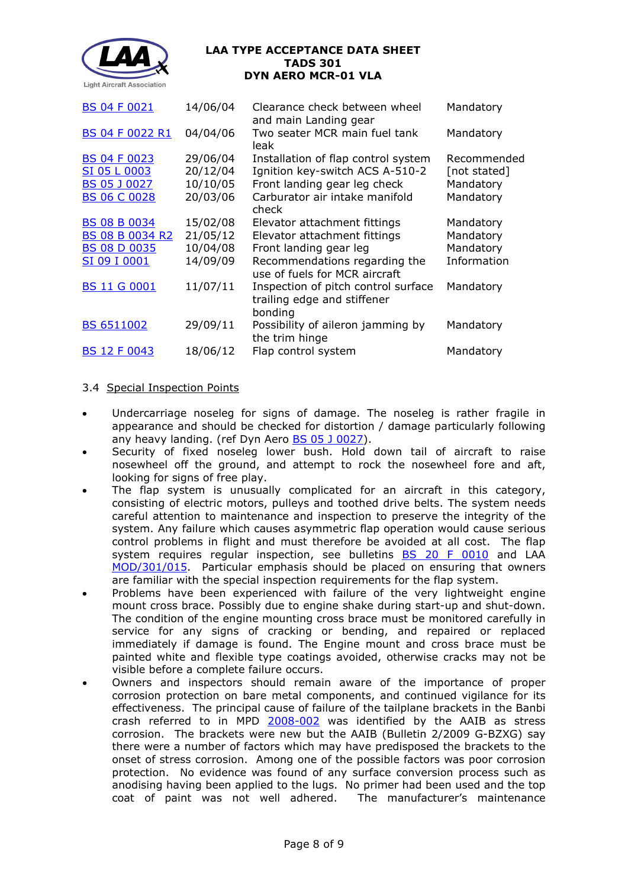

| <b>BS 04 F 0021</b>                                                                  | 14/06/04                                     | Clearance check between wheel<br>and main Landing gear                                                                                                   | Mandatory                                             |
|--------------------------------------------------------------------------------------|----------------------------------------------|----------------------------------------------------------------------------------------------------------------------------------------------------------|-------------------------------------------------------|
| <b>BS 04 F 0022 R1</b>                                                               | 04/04/06                                     | Two seater MCR main fuel tank<br>leak                                                                                                                    | Mandatory                                             |
| <b>BS 04 F 0023</b><br>SI 05 L 0003<br><b>BS 05 J 0027</b><br><b>BS 06 C 0028</b>    | 29/06/04<br>20/12/04<br>10/10/05<br>20/03/06 | Installation of flap control system<br>Ignition key-switch ACS A-510-2<br>Front landing gear leg check<br>Carburator air intake manifold<br>check        | Recommended<br>[not stated]<br>Mandatory<br>Mandatory |
| <b>BS 08 B 0034</b><br><b>BS 08 B 0034 R2</b><br><b>BS 08 D 0035</b><br>SI 09 I 0001 | 15/02/08<br>21/05/12<br>10/04/08<br>14/09/09 | Elevator attachment fittings<br>Elevator attachment fittings<br>Front landing gear leg<br>Recommendations regarding the<br>use of fuels for MCR aircraft | Mandatory<br>Mandatory<br>Mandatory<br>Information    |
| <b>BS 11 G 0001</b>                                                                  | 11/07/11                                     | Inspection of pitch control surface<br>trailing edge and stiffener<br>bonding                                                                            | Mandatory                                             |
| <b>BS 6511002</b>                                                                    | 29/09/11                                     | Possibility of aileron jamming by<br>the trim hinge                                                                                                      | Mandatory                                             |
| <b>BS 12 F 0043</b>                                                                  | 18/06/12                                     | Flap control system                                                                                                                                      | Mandatory                                             |
|                                                                                      |                                              |                                                                                                                                                          |                                                       |

# 3.4 Special Inspection Points

- Undercarriage noseleg for signs of damage. The noseleg is rather fragile in appearance and should be checked for distortion / damage particularly following any heavy landing. (ref Dyn Aero **BS 05 J 0027**).
- Security of fixed noseleg lower bush. Hold down tail of aircraft to raise nosewheel off the ground, and attempt to rock the nosewheel fore and aft, looking for signs of free play.
- The flap system is unusually complicated for an aircraft in this category, consisting of electric motors, pulleys and toothed drive belts. The system needs careful attention to maintenance and inspection to preserve the integrity of the system. Any failure which causes asymmetric flap operation would cause serious control problems in flight and must therefore be avoided at all cost. The flap system requires regular inspection, see bulletins **[BS 20 F 0010](http://www.lightaircraftassociation.co.uk/engineering/TADs/301/0010BS20F0010.pdf)** and LAA [MOD/301/015.](http://www.lightaircraftassociation.co.uk/engineering/TADs/301/301-015.pdf) Particular emphasis should be placed on ensuring that owners are familiar with the special inspection requirements for the flap system.
- Problems have been experienced with failure of the very lightweight engine mount cross brace. Possibly due to engine shake during start-up and shut-down. The condition of the engine mounting cross brace must be monitored carefully in service for any signs of cracking or bending, and repaired or replaced immediately if damage is found. The Engine mount and cross brace must be painted white and flexible type coatings avoided, otherwise cracks may not be visible before a complete failure occurs.
- Owners and inspectors should remain aware of the importance of proper corrosion protection on bare metal components, and continued vigilance for its effectiveness. The principal cause of failure of the tailplane brackets in the Banbi crash referred to in MPD [2008-002](http://www.lightaircraftassociation.co.uk/engineering/TADs/301/2008-002.pdf) was identified by the AAIB as stress corrosion. The brackets were new but the AAIB (Bulletin 2/2009 G-BZXG) say there were a number of factors which may have predisposed the brackets to the onset of stress corrosion. Among one of the possible factors was poor corrosion protection. No evidence was found of any surface conversion process such as anodising having been applied to the lugs. No primer had been used and the top coat of paint was not well adhered. The manufacturer's maintenance